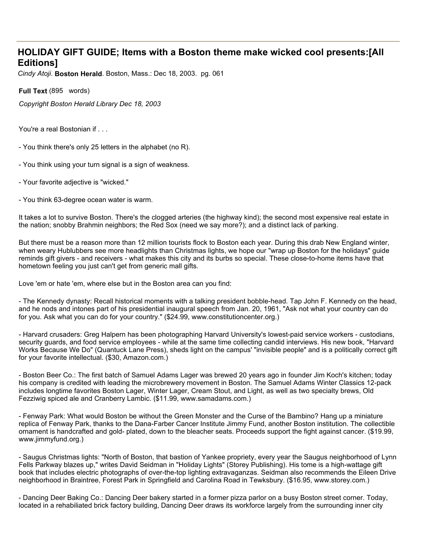## **HOLIDAY GIFT GUIDE; Items with a Boston theme make wicked cool presents:[All Editions]**

*Cindy Atoji*. **Boston Herald**. Boston, Mass.: Dec 18, 2003. pg. 061

**Full Text** (895 words)

*Copyright Boston Herald Library Dec 18, 2003*

You're a real Bostonian if . . .

- You think there's only 25 letters in the alphabet (no R).
- You think using your turn signal is a sign of weakness.
- Your favorite adjective is "wicked."
- You think 63-degree ocean water is warm.

It takes a lot to survive Boston. There's the clogged arteries (the highway kind); the second most expensive real estate in the nation; snobby Brahmin neighbors; the Red Sox (need we say more?); and a distinct lack of parking.

But there must be a reason more than 12 million tourists flock to Boston each year. During this drab New England winter, when weary Hublubbers see more headlights than Christmas lights, we hope our "wrap up Boston for the holidays" guide reminds gift givers - and receivers - what makes this city and its burbs so special. These close-to-home items have that hometown feeling you just can't get from generic mall gifts.

Love 'em or hate 'em, where else but in the Boston area can you find:

- The Kennedy dynasty: Recall historical moments with a talking president bobble-head. Tap John F. Kennedy on the head, and he nods and intones part of his presidential inaugural speech from Jan. 20, 1961, "Ask not what your country can do for you. Ask what you can do for your country." (\$24.99, www.constitutioncenter.org.)

- Harvard crusaders: Greg Halpern has been photographing Harvard University's lowest-paid service workers - custodians, security guards, and food service employees - while at the same time collecting candid interviews. His new book, "Harvard Works Because We Do" (Quantuck Lane Press), sheds light on the campus' "invisible people" and is a politically correct gift for your favorite intellectual. (\$30, Amazon.com.)

- Boston Beer Co.: The first batch of Samuel Adams Lager was brewed 20 years ago in founder Jim Koch's kitchen; today his company is credited with leading the microbrewery movement in Boston. The Samuel Adams Winter Classics 12-pack includes longtime favorites Boston Lager, Winter Lager, Cream Stout, and Light, as well as two specialty brews, Old Fezziwig spiced ale and Cranberry Lambic. (\$11.99, www.samadams.com.)

- Fenway Park: What would Boston be without the Green Monster and the Curse of the Bambino? Hang up a miniature replica of Fenway Park, thanks to the Dana-Farber Cancer Institute Jimmy Fund, another Boston institution. The collectible ornament is handcrafted and gold- plated, down to the bleacher seats. Proceeds support the fight against cancer. (\$19.99, www.jimmyfund.org.)

- Saugus Christmas lights: "North of Boston, that bastion of Yankee propriety, every year the Saugus neighborhood of Lynn Fells Parkway blazes up," writes David Seidman in "Holiday Lights" (Storey Publishing). His tome is a high-wattage gift book that includes electric photographs of over-the-top lighting extravaganzas. Seidman also recommends the Eileen Drive neighborhood in Braintree, Forest Park in Springfield and Carolina Road in Tewksbury. (\$16.95, www.storey.com.)

- Dancing Deer Baking Co.: Dancing Deer bakery started in a former pizza parlor on a busy Boston street corner. Today, located in a rehabiliated brick factory building, Dancing Deer draws its workforce largely from the surrounding inner city